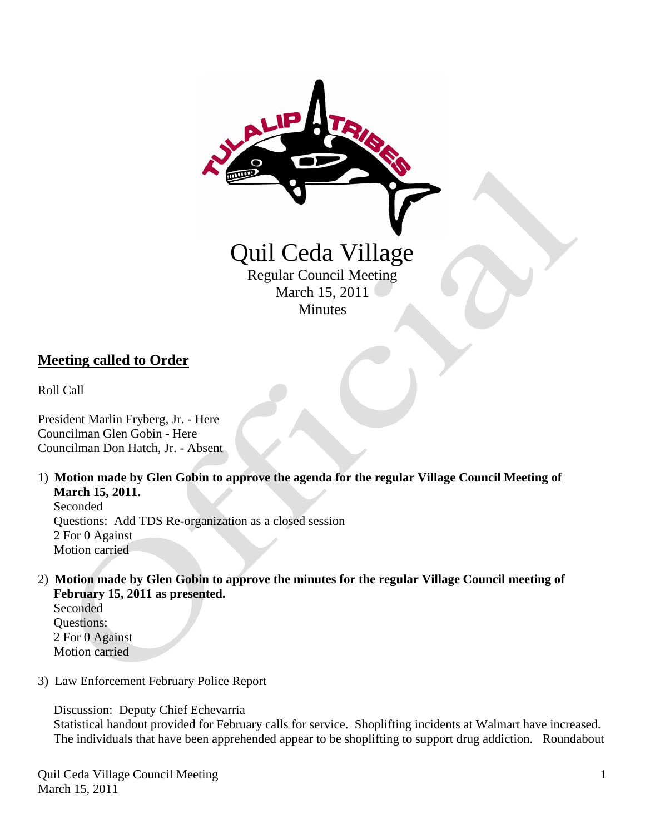

## **Meeting called to Order**

Roll Call

President Marlin Fryberg, Jr. - Here Councilman Glen Gobin - Here Councilman Don Hatch, Jr. - Absent

1) **Motion made by Glen Gobin to approve the agenda for the regular Village Council Meeting of March 15, 2011.**

 Seconded Questions: Add TDS Re-organization as a closed session 2 For 0 Against Motion carried

- 2) **Motion made by Glen Gobin to approve the minutes for the regular Village Council meeting of February 15, 2011 as presented.**
	- Seconded Questions: 2 For 0 Against Motion carried
- 3) Law Enforcement February Police Report

Discussion: Deputy Chief Echevarria

 Statistical handout provided for February calls for service. Shoplifting incidents at Walmart have increased. The individuals that have been apprehended appear to be shoplifting to support drug addiction. Roundabout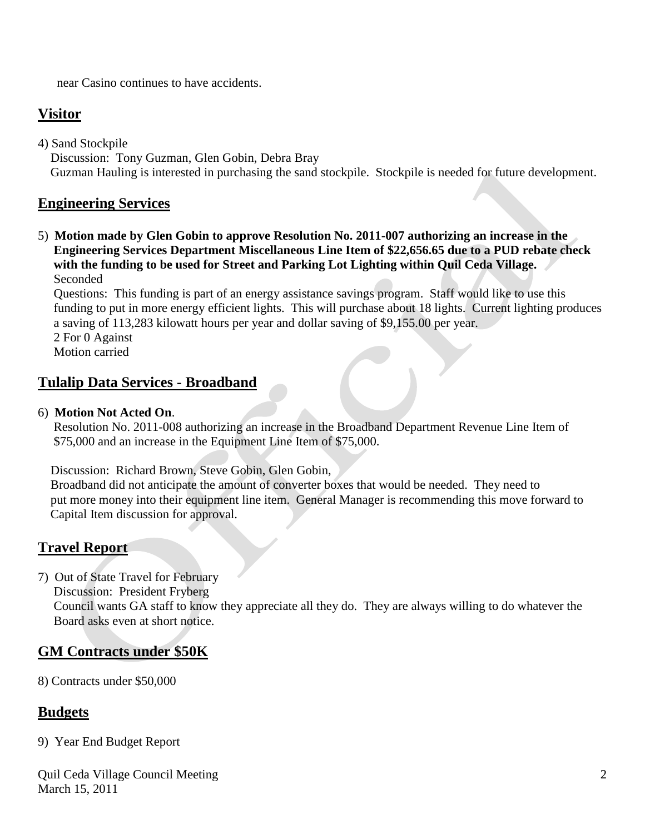near Casino continues to have accidents.

# **Visitor**

4) Sand Stockpile Discussion: Tony Guzman, Glen Gobin, Debra Bray Guzman Hauling is interested in purchasing the sand stockpile. Stockpile is needed for future development.

#### **Engineering Services**

5) **Motion made by Glen Gobin to approve Resolution No. 2011-007 authorizing an increase in the Engineering Services Department Miscellaneous Line Item of \$22,656.65 due to a PUD rebate check with the funding to be used for Street and Parking Lot Lighting within Quil Ceda Village.** Seconded

 Questions: This funding is part of an energy assistance savings program. Staff would like to use this funding to put in more energy efficient lights. This will purchase about 18 lights. Current lighting produces a saving of 113,283 kilowatt hours per year and dollar saving of \$9,155.00 per year.

 2 For 0 Against Motion carried

#### **Tulalip Data Services - Broadband**

#### 6) **Motion Not Acted On**.

 Resolution No. 2011-008 authorizing an increase in the Broadband Department Revenue Line Item of \$75,000 and an increase in the Equipment Line Item of \$75,000.

Discussion: Richard Brown, Steve Gobin, Glen Gobin,

 Broadband did not anticipate the amount of converter boxes that would be needed. They need to put more money into their equipment line item. General Manager is recommending this move forward to Capital Item discussion for approval.

## **Travel Report**

7) Out of State Travel for February Discussion: President Fryberg Council wants GA staff to know they appreciate all they do. They are always willing to do whatever the Board asks even at short notice.

## **GM Contracts under \$50K**

8) Contracts under \$50,000

## **Budgets**

9) Year End Budget Report

Quil Ceda Village Council Meeting March 15, 2011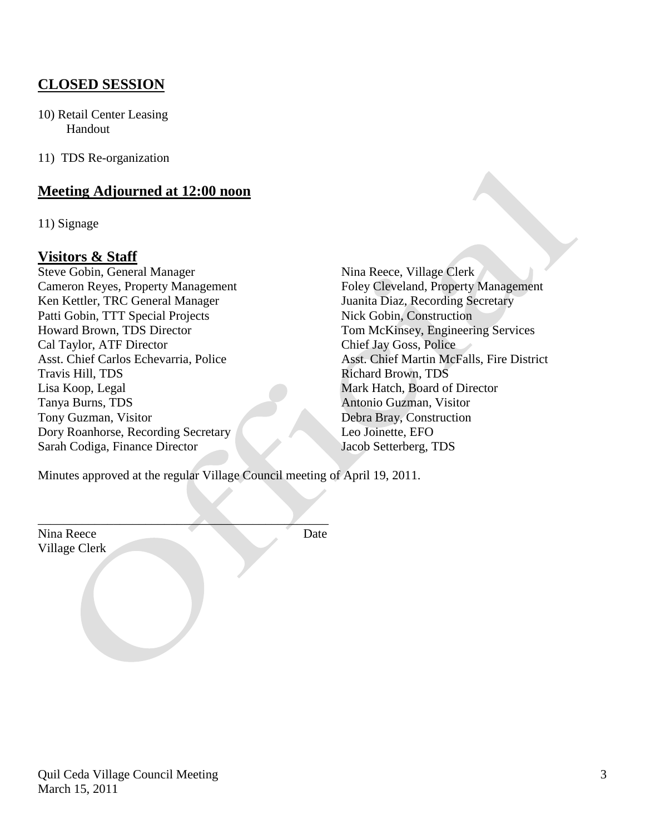# **CLOSED SESSION**

10) Retail Center Leasing Handout

11) TDS Re-organization

#### **Meeting Adjourned at 12:00 noon**

11) Signage

#### **Visitors & Staff**

Steve Gobin, General Manager Nina Reece, Village Clerk Cameron Reyes, Property Management Foley Cleveland, Property Management Ken Kettler, TRC General Manager Juanita Diaz, Recording Secretary Patti Gobin, TTT Special Projects Nick Gobin, Construction Howard Brown, TDS Director Tom McKinsey, Engineering Services Cal Taylor, ATF Director Chief Jay Goss, Police Travis Hill, TDS Richard Brown, TDS Lisa Koop, Legal Mark Hatch, Board of Director Tanya Burns, TDS Antonio Guzman, Visitor Tony Guzman, Visitor Debra Bray, Construction Dory Roanhorse, Recording Secretary Leo Joinette, EFO Sarah Codiga, Finance Director Jacob Setterberg, TDS

Asst. Chief Carlos Echevarria, Police Asst. Chief Martin McFalls, Fire District

Minutes approved at the regular Village Council meeting of April 19, 2011.

 $\overline{\phantom{a}}$ 

Nina Reece Date Village Clerk